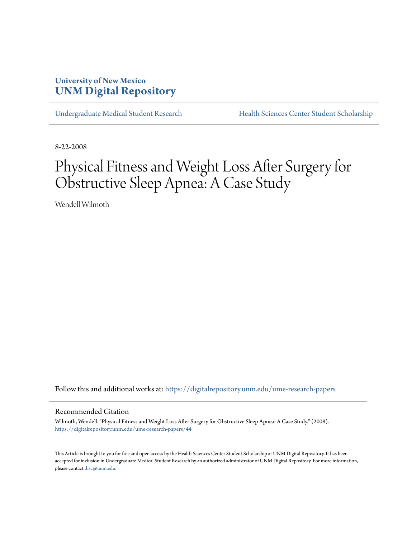# **University of New Mexico [UNM Digital Repository](https://digitalrepository.unm.edu?utm_source=digitalrepository.unm.edu%2Fume-research-papers%2F44&utm_medium=PDF&utm_campaign=PDFCoverPages)**

[Undergraduate Medical Student Research](https://digitalrepository.unm.edu/ume-research-papers?utm_source=digitalrepository.unm.edu%2Fume-research-papers%2F44&utm_medium=PDF&utm_campaign=PDFCoverPages) [Health Sciences Center Student Scholarship](https://digitalrepository.unm.edu/hsc-students?utm_source=digitalrepository.unm.edu%2Fume-research-papers%2F44&utm_medium=PDF&utm_campaign=PDFCoverPages)

8-22-2008

# Physical Fitness and Weight Loss After Surgery for Obstructive Sleep Apnea: A Case Study

Wendell Wilmoth

Follow this and additional works at: [https://digitalrepository.unm.edu/ume-research-papers](https://digitalrepository.unm.edu/ume-research-papers?utm_source=digitalrepository.unm.edu%2Fume-research-papers%2F44&utm_medium=PDF&utm_campaign=PDFCoverPages)

#### Recommended Citation

Wilmoth, Wendell. "Physical Fitness and Weight Loss After Surgery for Obstructive Sleep Apnea: A Case Study." (2008). [https://digitalrepository.unm.edu/ume-research-papers/44](https://digitalrepository.unm.edu/ume-research-papers/44?utm_source=digitalrepository.unm.edu%2Fume-research-papers%2F44&utm_medium=PDF&utm_campaign=PDFCoverPages)

This Article is brought to you for free and open access by the Health Sciences Center Student Scholarship at UNM Digital Repository. It has been accepted for inclusion in Undergraduate Medical Student Research by an authorized administrator of UNM Digital Repository. For more information, please contact [disc@unm.edu.](mailto:disc@unm.edu)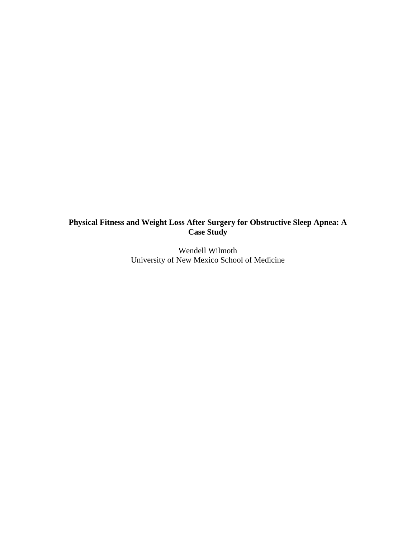# **Physical Fitness and Weight Loss After Surgery for Obstructive Sleep Apnea: A Case Study**

Wendell Wilmoth University of New Mexico School of Medicine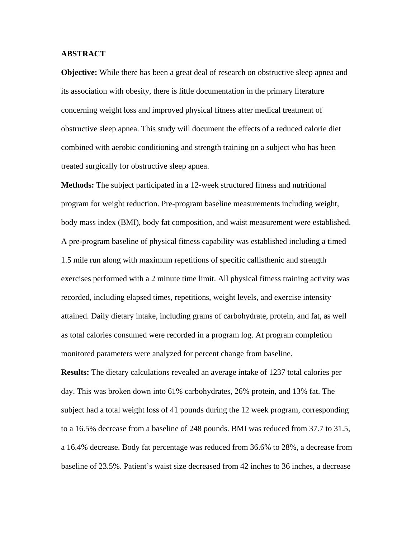### **ABSTRACT**

**Objective:** While there has been a great deal of research on obstructive sleep apnea and its association with obesity, there is little documentation in the primary literature concerning weight loss and improved physical fitness after medical treatment of obstructive sleep apnea. This study will document the effects of a reduced calorie diet combined with aerobic conditioning and strength training on a subject who has been treated surgically for obstructive sleep apnea.

**Methods:** The subject participated in a 12-week structured fitness and nutritional program for weight reduction. Pre-program baseline measurements including weight, body mass index (BMI), body fat composition, and waist measurement were established. A pre-program baseline of physical fitness capability was established including a timed 1.5 mile run along with maximum repetitions of specific callisthenic and strength exercises performed with a 2 minute time limit. All physical fitness training activity was recorded, including elapsed times, repetitions, weight levels, and exercise intensity attained. Daily dietary intake, including grams of carbohydrate, protein, and fat, as well as total calories consumed were recorded in a program log. At program completion monitored parameters were analyzed for percent change from baseline.

**Results:** The dietary calculations revealed an average intake of 1237 total calories per day. This was broken down into 61% carbohydrates, 26% protein, and 13% fat. The subject had a total weight loss of 41 pounds during the 12 week program, corresponding to a 16.5% decrease from a baseline of 248 pounds. BMI was reduced from 37.7 to 31.5, a 16.4% decrease. Body fat percentage was reduced from 36.6% to 28%, a decrease from baseline of 23.5%. Patient's waist size decreased from 42 inches to 36 inches, a decrease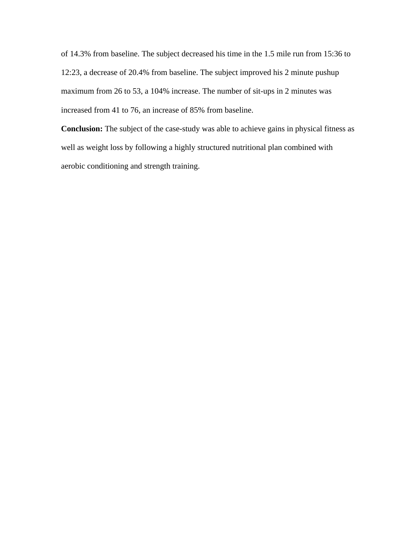of 14.3% from baseline. The subject decreased his time in the 1.5 mile run from 15:36 to 12:23, a decrease of 20.4% from baseline. The subject improved his 2 minute pushup maximum from 26 to 53, a 104% increase. The number of sit-ups in 2 minutes was increased from 41 to 76, an increase of 85% from baseline.

**Conclusion:** The subject of the case-study was able to achieve gains in physical fitness as well as weight loss by following a highly structured nutritional plan combined with aerobic conditioning and strength training.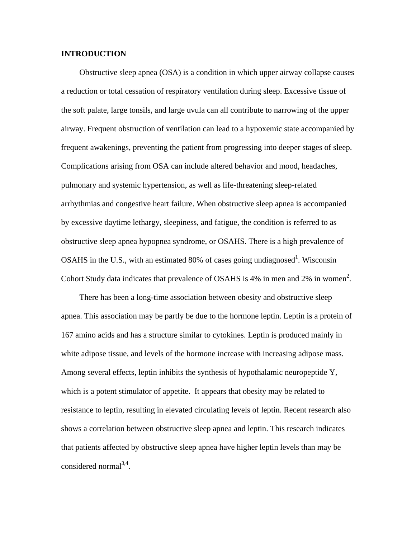### **INTRODUCTION**

 Obstructive sleep apnea (OSA) is a condition in which upper airway collapse causes a reduction or total cessation of respiratory ventilation during sleep. Excessive tissue of the soft palate, large tonsils, and large uvula can all contribute to narrowing of the upper airway. Frequent obstruction of ventilation can lead to a hypoxemic state accompanied by frequent awakenings, preventing the patient from progressing into deeper stages of sleep. Complications arising from OSA can include altered behavior and mood, headaches, pulmonary and systemic hypertension, as well as life-threatening sleep-related arrhythmias and congestive heart failure. When obstructive sleep apnea is accompanied by excessive daytime lethargy, sleepiness, and fatigue, the condition is referred to as obstructive sleep apnea hypopnea syndrome, or OSAHS. There is a high prevalence of OSAHS in the U.S., with an estimated 80% of cases going undiagnosed<sup>1</sup>. Wisconsin Cohort Study data indicates that prevalence of OSAHS is  $4\%$  in men and  $2\%$  in women<sup>2</sup>.

 There has been a long-time association between obesity and obstructive sleep apnea. This association may be partly be due to the hormone leptin. Leptin is a protein of 167 amino acids and has a structure similar to cytokines. Leptin is produced mainly in white adipose tissue, and levels of the hormone increase with increasing adipose mass. Among several effects, leptin inhibits the synthesis of hypothalamic neuropeptide Y, which is a potent stimulator of appetite. It appears that obesity may be related to resistance to leptin, resulting in elevated circulating levels of leptin. Recent research also shows a correlation between obstructive sleep apnea and leptin. This research indicates that patients affected by obstructive sleep apnea have higher leptin levels than may be considered normal $^{3,4}$ .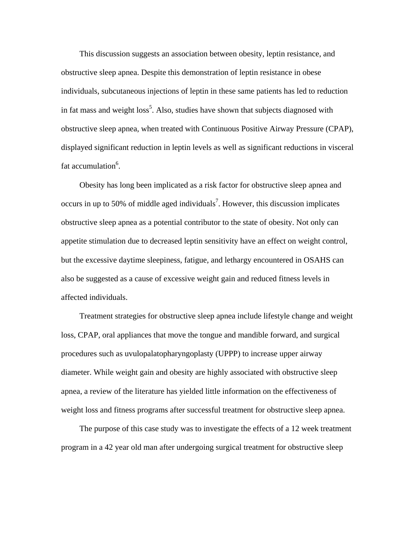This discussion suggests an association between obesity, leptin resistance, and obstructive sleep apnea. Despite this demonstration of leptin resistance in obese individuals, subcutaneous injections of leptin in these same patients has led to reduction in fat mass and weight  $loss<sup>5</sup>$ . Also, studies have shown that subjects diagnosed with obstructive sleep apnea, when treated with Continuous Positive Airway Pressure (CPAP), displayed significant reduction in leptin levels as well as significant reductions in visceral fat accumulation<sup>6</sup>.

 Obesity has long been implicated as a risk factor for obstructive sleep apnea and occurs in up to 50% of middle aged individuals<sup>7</sup>. However, this discussion implicates obstructive sleep apnea as a potential contributor to the state of obesity. Not only can appetite stimulation due to decreased leptin sensitivity have an effect on weight control, but the excessive daytime sleepiness, fatigue, and lethargy encountered in OSAHS can also be suggested as a cause of excessive weight gain and reduced fitness levels in affected individuals.

 Treatment strategies for obstructive sleep apnea include lifestyle change and weight loss, CPAP, oral appliances that move the tongue and mandible forward, and surgical procedures such as uvulopalatopharyngoplasty (UPPP) to increase upper airway diameter. While weight gain and obesity are highly associated with obstructive sleep apnea, a review of the literature has yielded little information on the effectiveness of weight loss and fitness programs after successful treatment for obstructive sleep apnea.

 The purpose of this case study was to investigate the effects of a 12 week treatment program in a 42 year old man after undergoing surgical treatment for obstructive sleep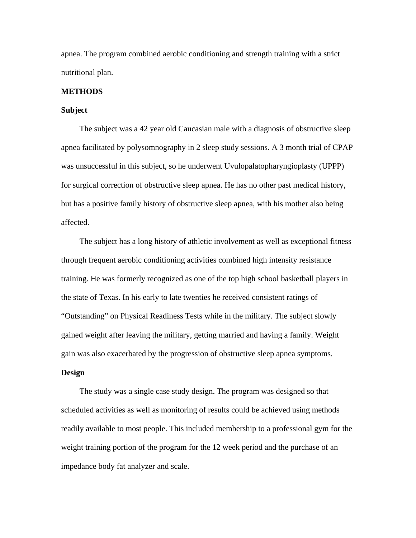apnea. The program combined aerobic conditioning and strength training with a strict nutritional plan.

#### **METHODS**

### **Subject**

 The subject was a 42 year old Caucasian male with a diagnosis of obstructive sleep apnea facilitated by polysomnography in 2 sleep study sessions. A 3 month trial of CPAP was unsuccessful in this subject, so he underwent Uvulopalatopharyngioplasty (UPPP) for surgical correction of obstructive sleep apnea. He has no other past medical history, but has a positive family history of obstructive sleep apnea, with his mother also being affected.

 The subject has a long history of athletic involvement as well as exceptional fitness through frequent aerobic conditioning activities combined high intensity resistance training. He was formerly recognized as one of the top high school basketball players in the state of Texas. In his early to late twenties he received consistent ratings of "Outstanding" on Physical Readiness Tests while in the military. The subject slowly gained weight after leaving the military, getting married and having a family. Weight gain was also exacerbated by the progression of obstructive sleep apnea symptoms.

# **Design**

 The study was a single case study design. The program was designed so that scheduled activities as well as monitoring of results could be achieved using methods readily available to most people. This included membership to a professional gym for the weight training portion of the program for the 12 week period and the purchase of an impedance body fat analyzer and scale.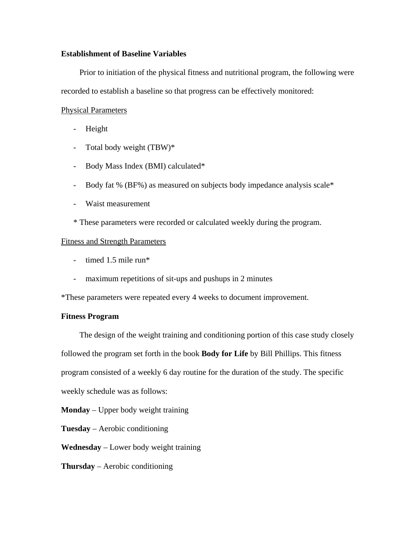## **Establishment of Baseline Variables**

 Prior to initiation of the physical fitness and nutritional program, the following were recorded to establish a baseline so that progress can be effectively monitored:

# Physical Parameters

- Height
- Total body weight (TBW)\*
- Body Mass Index (BMI) calculated\*
- Body fat % (BF%) as measured on subjects body impedance analysis scale\*
- Waist measurement
- \* These parameters were recorded or calculated weekly during the program.

### Fitness and Strength Parameters

- timed 1.5 mile run\*
- maximum repetitions of sit-ups and pushups in 2 minutes

\*These parameters were repeated every 4 weeks to document improvement.

### **Fitness Program**

 The design of the weight training and conditioning portion of this case study closely followed the program set forth in the book **Body for Life** by Bill Phillips. This fitness program consisted of a weekly 6 day routine for the duration of the study. The specific weekly schedule was as follows:

**Monday** – Upper body weight training

**Tuesday** – Aerobic conditioning

**Wednesday** – Lower body weight training

**Thursday** – Aerobic conditioning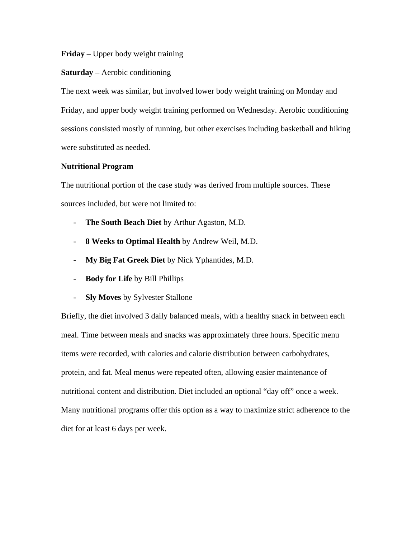# **Friday** – Upper body weight training

### **Saturday** – Aerobic conditioning

The next week was similar, but involved lower body weight training on Monday and Friday, and upper body weight training performed on Wednesday. Aerobic conditioning sessions consisted mostly of running, but other exercises including basketball and hiking were substituted as needed.

### **Nutritional Program**

The nutritional portion of the case study was derived from multiple sources. These sources included, but were not limited to:

- **The South Beach Diet** by Arthur Agaston, M.D.
- **8 Weeks to Optimal Health** by Andrew Weil, M.D.
- **My Big Fat Greek Diet** by Nick Yphantides, M.D.
- **Body for Life** by Bill Phillips
- **Sly Moves** by Sylvester Stallone

Briefly, the diet involved 3 daily balanced meals, with a healthy snack in between each meal. Time between meals and snacks was approximately three hours. Specific menu items were recorded, with calories and calorie distribution between carbohydrates, protein, and fat. Meal menus were repeated often, allowing easier maintenance of nutritional content and distribution. Diet included an optional "day off" once a week. Many nutritional programs offer this option as a way to maximize strict adherence to the diet for at least 6 days per week.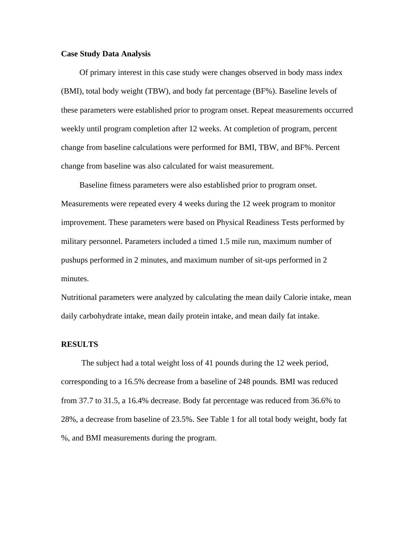### **Case Study Data Analysis**

 Of primary interest in this case study were changes observed in body mass index (BMI), total body weight (TBW), and body fat percentage (BF%). Baseline levels of these parameters were established prior to program onset. Repeat measurements occurred weekly until program completion after 12 weeks. At completion of program, percent change from baseline calculations were performed for BMI, TBW, and BF%. Percent change from baseline was also calculated for waist measurement.

 Baseline fitness parameters were also established prior to program onset. Measurements were repeated every 4 weeks during the 12 week program to monitor improvement. These parameters were based on Physical Readiness Tests performed by military personnel. Parameters included a timed 1.5 mile run, maximum number of pushups performed in 2 minutes, and maximum number of sit-ups performed in 2 minutes.

Nutritional parameters were analyzed by calculating the mean daily Calorie intake, mean daily carbohydrate intake, mean daily protein intake, and mean daily fat intake.

#### **RESULTS**

 The subject had a total weight loss of 41 pounds during the 12 week period, corresponding to a 16.5% decrease from a baseline of 248 pounds. BMI was reduced from 37.7 to 31.5, a 16.4% decrease. Body fat percentage was reduced from 36.6% to 28%, a decrease from baseline of 23.5%. See Table 1 for all total body weight, body fat %, and BMI measurements during the program.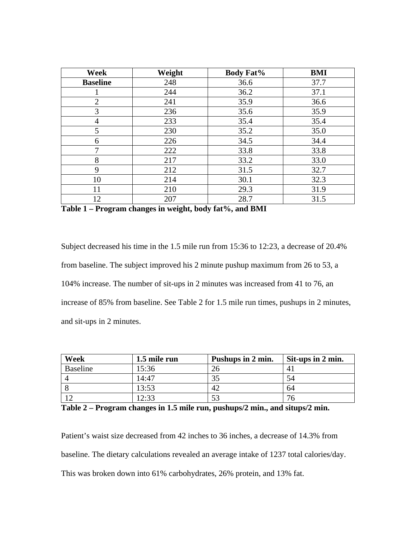| Week            | Weight | <b>Body Fat%</b> | <b>BMI</b> |
|-----------------|--------|------------------|------------|
| <b>Baseline</b> | 248    | 36.6             | 37.7       |
|                 | 244    | 36.2             | 37.1       |
| $\overline{2}$  | 241    | 35.9             | 36.6       |
| 3               | 236    | 35.6             | 35.9       |
| 4               | 233    | 35.4             | 35.4       |
| 5               | 230    | 35.2             | 35.0       |
| 6               | 226    | 34.5             | 34.4       |
| 7               | 222    | 33.8             | 33.8       |
| 8               | 217    | 33.2             | 33.0       |
| 9               | 212    | 31.5             | 32.7       |
| 10              | 214    | 30.1             | 32.3       |
| 11              | 210    | 29.3             | 31.9       |
| 12              | 207    | 28.7             | 31.5       |

**Table 1 – Program changes in weight, body fat%, and BMI**

Subject decreased his time in the 1.5 mile run from 15:36 to 12:23, a decrease of 20.4% from baseline. The subject improved his 2 minute pushup maximum from 26 to 53, a 104% increase. The number of sit-ups in 2 minutes was increased from 41 to 76, an increase of 85% from baseline. See Table 2 for 1.5 mile run times, pushups in 2 minutes, and sit-ups in 2 minutes.

| Week     | 1.5 mile run | Pushups in 2 min. | Sit-ups in 2 min. |
|----------|--------------|-------------------|-------------------|
| Baseline | 15:36        |                   | 4                 |
|          | 14:47        |                   | 54                |
|          | 13:53        | 47                | 64                |
|          | 17.33        |                   |                   |

**Table 2 – Program changes in 1.5 mile run, pushups/2 min., and situps/2 min.** 

Patient's waist size decreased from 42 inches to 36 inches, a decrease of 14.3% from baseline. The dietary calculations revealed an average intake of 1237 total calories/day. This was broken down into 61% carbohydrates, 26% protein, and 13% fat.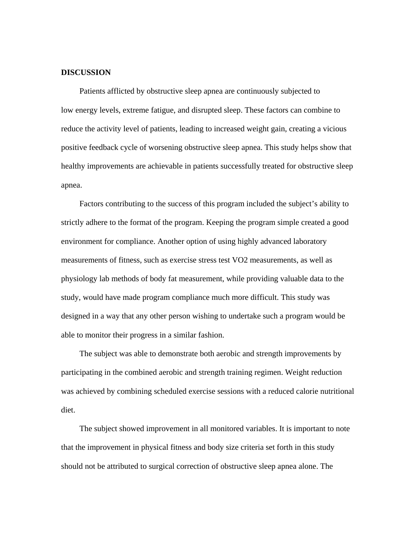#### **DISCUSSION**

 Patients afflicted by obstructive sleep apnea are continuously subjected to low energy levels, extreme fatigue, and disrupted sleep. These factors can combine to reduce the activity level of patients, leading to increased weight gain, creating a vicious positive feedback cycle of worsening obstructive sleep apnea. This study helps show that healthy improvements are achievable in patients successfully treated for obstructive sleep apnea.

 Factors contributing to the success of this program included the subject's ability to strictly adhere to the format of the program. Keeping the program simple created a good environment for compliance. Another option of using highly advanced laboratory measurements of fitness, such as exercise stress test VO2 measurements, as well as physiology lab methods of body fat measurement, while providing valuable data to the study, would have made program compliance much more difficult. This study was designed in a way that any other person wishing to undertake such a program would be able to monitor their progress in a similar fashion.

 The subject was able to demonstrate both aerobic and strength improvements by participating in the combined aerobic and strength training regimen. Weight reduction was achieved by combining scheduled exercise sessions with a reduced calorie nutritional diet.

 The subject showed improvement in all monitored variables. It is important to note that the improvement in physical fitness and body size criteria set forth in this study should not be attributed to surgical correction of obstructive sleep apnea alone. The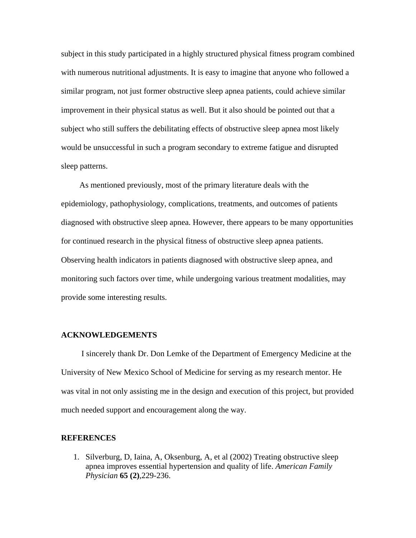subject in this study participated in a highly structured physical fitness program combined with numerous nutritional adjustments. It is easy to imagine that anyone who followed a similar program, not just former obstructive sleep apnea patients, could achieve similar improvement in their physical status as well. But it also should be pointed out that a subject who still suffers the debilitating effects of obstructive sleep apnea most likely would be unsuccessful in such a program secondary to extreme fatigue and disrupted sleep patterns.

 As mentioned previously, most of the primary literature deals with the epidemiology, pathophysiology, complications, treatments, and outcomes of patients diagnosed with obstructive sleep apnea. However, there appears to be many opportunities for continued research in the physical fitness of obstructive sleep apnea patients. Observing health indicators in patients diagnosed with obstructive sleep apnea, and monitoring such factors over time, while undergoing various treatment modalities, may provide some interesting results.

#### **ACKNOWLEDGEMENTS**

 I sincerely thank Dr. Don Lemke of the Department of Emergency Medicine at the University of New Mexico School of Medicine for serving as my research mentor. He was vital in not only assisting me in the design and execution of this project, but provided much needed support and encouragement along the way.

#### **REFERENCES**

1. Silverburg, D, Iaina, A, Oksenburg, A, et al (2002) Treating obstructive sleep apnea improves essential hypertension and quality of life. *American Family Physician* **65 (2)**,229-236.